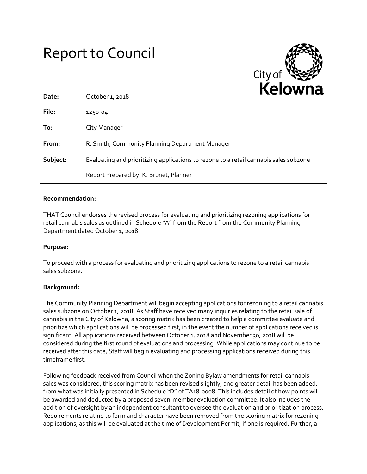# Report to Council



| Date:    | October 1, 2018                                                                       |
|----------|---------------------------------------------------------------------------------------|
| File:    | 1250-04                                                                               |
| To:      | City Manager                                                                          |
| From:    | R. Smith, Community Planning Department Manager                                       |
| Subject: | Evaluating and prioritizing applications to rezone to a retail cannabis sales subzone |
|          | Report Prepared by: K. Brunet, Planner                                                |

## **Recommendation:**

THAT Council endorses the revised process for evaluating and prioritizing rezoning applications for retail cannabis sales as outlined in Schedule "A" from the Report from the Community Planning Department dated October 1, 2018.

## **Purpose:**

To proceed with a process for evaluating and prioritizing applications to rezone to a retail cannabis sales subzone.

## **Background:**

The Community Planning Department will begin accepting applications for rezoning to a retail cannabis sales subzone on October 1, 2018. As Staff have received many inquiries relating to the retail sale of cannabis in the City of Kelowna, a scoring matrix has been created to help a committee evaluate and prioritize which applications will be processed first, in the event the number of applications received is significant. All applications received between October 1, 2018 and November 30, 2018 will be considered during the first round of evaluations and processing. While applications may continue to be received after this date, Staff will begin evaluating and processing applications received during this timeframe first.

Following feedback received from Council when the Zoning Bylaw amendments for retail cannabis sales was considered, this scoring matrix has been revised slightly, and greater detail has been added, from what was initially presented in Schedule "D" of TA18-0008. This includes detail of how points will be awarded and deducted by a proposed seven-member evaluation committee. It also includes the addition of oversight by an independent consultant to oversee the evaluation and prioritization process. Requirements relating to form and character have been removed from the scoring matrix for rezoning applications, as this will be evaluated at the time of Development Permit, if one is required. Further, a